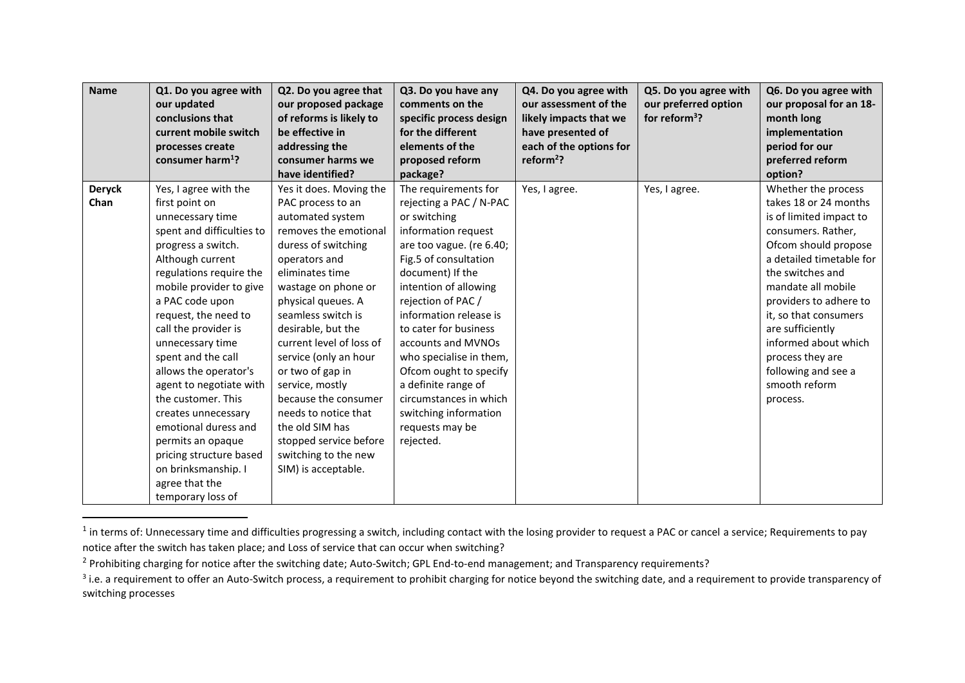| <b>Name</b>   | Q1. Do you agree with<br>our updated<br>conclusions that<br>current mobile switch<br>processes create<br>consumer harm <sup>1</sup> ? | Q2. Do you agree that<br>our proposed package<br>of reforms is likely to<br>be effective in<br>addressing the<br>consumer harms we | Q3. Do you have any<br>comments on the<br>specific process design<br>for the different<br>elements of the<br>proposed reform | Q4. Do you agree with<br>our assessment of the<br>likely impacts that we<br>have presented of<br>each of the options for<br>reform <sup>2</sup> ? | Q5. Do you agree with<br>our preferred option<br>for reform <sup>3</sup> ? | Q6. Do you agree with<br>our proposal for an 18-<br>month long<br>implementation<br>period for our<br>preferred reform |
|---------------|---------------------------------------------------------------------------------------------------------------------------------------|------------------------------------------------------------------------------------------------------------------------------------|------------------------------------------------------------------------------------------------------------------------------|---------------------------------------------------------------------------------------------------------------------------------------------------|----------------------------------------------------------------------------|------------------------------------------------------------------------------------------------------------------------|
|               |                                                                                                                                       | have identified?                                                                                                                   | package?                                                                                                                     |                                                                                                                                                   |                                                                            | option?                                                                                                                |
| <b>Deryck</b> | Yes, I agree with the                                                                                                                 | Yes it does. Moving the                                                                                                            | The requirements for                                                                                                         | Yes, I agree.                                                                                                                                     | Yes, I agree.                                                              | Whether the process                                                                                                    |
| Chan          | first point on                                                                                                                        | PAC process to an                                                                                                                  | rejecting a PAC / N-PAC                                                                                                      |                                                                                                                                                   |                                                                            | takes 18 or 24 months                                                                                                  |
|               | unnecessary time                                                                                                                      | automated system                                                                                                                   | or switching                                                                                                                 |                                                                                                                                                   |                                                                            | is of limited impact to                                                                                                |
|               | spent and difficulties to                                                                                                             | removes the emotional                                                                                                              | information request                                                                                                          |                                                                                                                                                   |                                                                            | consumers. Rather,                                                                                                     |
|               | progress a switch.                                                                                                                    | duress of switching                                                                                                                | are too vague. (re 6.40;                                                                                                     |                                                                                                                                                   |                                                                            | Ofcom should propose                                                                                                   |
|               | Although current                                                                                                                      | operators and                                                                                                                      | Fig.5 of consultation                                                                                                        |                                                                                                                                                   |                                                                            | a detailed timetable for                                                                                               |
|               | regulations require the                                                                                                               | eliminates time                                                                                                                    | document) If the                                                                                                             |                                                                                                                                                   |                                                                            | the switches and                                                                                                       |
|               | mobile provider to give                                                                                                               | wastage on phone or                                                                                                                | intention of allowing                                                                                                        |                                                                                                                                                   |                                                                            | mandate all mobile                                                                                                     |
|               | a PAC code upon                                                                                                                       | physical queues. A                                                                                                                 | rejection of PAC /                                                                                                           |                                                                                                                                                   |                                                                            | providers to adhere to                                                                                                 |
|               | request, the need to                                                                                                                  | seamless switch is                                                                                                                 | information release is                                                                                                       |                                                                                                                                                   |                                                                            | it, so that consumers                                                                                                  |
|               | call the provider is                                                                                                                  | desirable, but the                                                                                                                 | to cater for business                                                                                                        |                                                                                                                                                   |                                                                            | are sufficiently                                                                                                       |
|               | unnecessary time                                                                                                                      | current level of loss of                                                                                                           | accounts and MVNOs                                                                                                           |                                                                                                                                                   |                                                                            | informed about which                                                                                                   |
|               | spent and the call                                                                                                                    | service (only an hour                                                                                                              | who specialise in them,                                                                                                      |                                                                                                                                                   |                                                                            | process they are                                                                                                       |
|               | allows the operator's                                                                                                                 | or two of gap in                                                                                                                   | Ofcom ought to specify                                                                                                       |                                                                                                                                                   |                                                                            | following and see a                                                                                                    |
|               | agent to negotiate with                                                                                                               | service, mostly                                                                                                                    | a definite range of                                                                                                          |                                                                                                                                                   |                                                                            | smooth reform                                                                                                          |
|               | the customer. This                                                                                                                    | because the consumer                                                                                                               | circumstances in which                                                                                                       |                                                                                                                                                   |                                                                            | process.                                                                                                               |
|               | creates unnecessary                                                                                                                   | needs to notice that                                                                                                               | switching information                                                                                                        |                                                                                                                                                   |                                                                            |                                                                                                                        |
|               | emotional duress and                                                                                                                  | the old SIM has                                                                                                                    | requests may be                                                                                                              |                                                                                                                                                   |                                                                            |                                                                                                                        |
|               | permits an opaque                                                                                                                     | stopped service before                                                                                                             | rejected.                                                                                                                    |                                                                                                                                                   |                                                                            |                                                                                                                        |
|               | pricing structure based                                                                                                               | switching to the new                                                                                                               |                                                                                                                              |                                                                                                                                                   |                                                                            |                                                                                                                        |
|               | on brinksmanship. I                                                                                                                   | SIM) is acceptable.                                                                                                                |                                                                                                                              |                                                                                                                                                   |                                                                            |                                                                                                                        |
|               | agree that the                                                                                                                        |                                                                                                                                    |                                                                                                                              |                                                                                                                                                   |                                                                            |                                                                                                                        |
|               | temporary loss of                                                                                                                     |                                                                                                                                    |                                                                                                                              |                                                                                                                                                   |                                                                            |                                                                                                                        |

 $^1$  in terms of: Unnecessary time and difficulties progressing a switch, including contact with the losing provider to request a PAC or cancel a service; Requirements to pay notice after the switch has taken place; and Loss of service that can occur when switching?

 $\overline{a}$ 

<sup>&</sup>lt;sup>2</sup> Prohibiting charging for notice after the switching date; Auto-Switch; GPL End-to-end management; and Transparency requirements?

 $^3$  i.e. a requirement to offer an Auto-Switch process, a requirement to prohibit charging for notice beyond the switching date, and a requirement to provide transparency of switching processes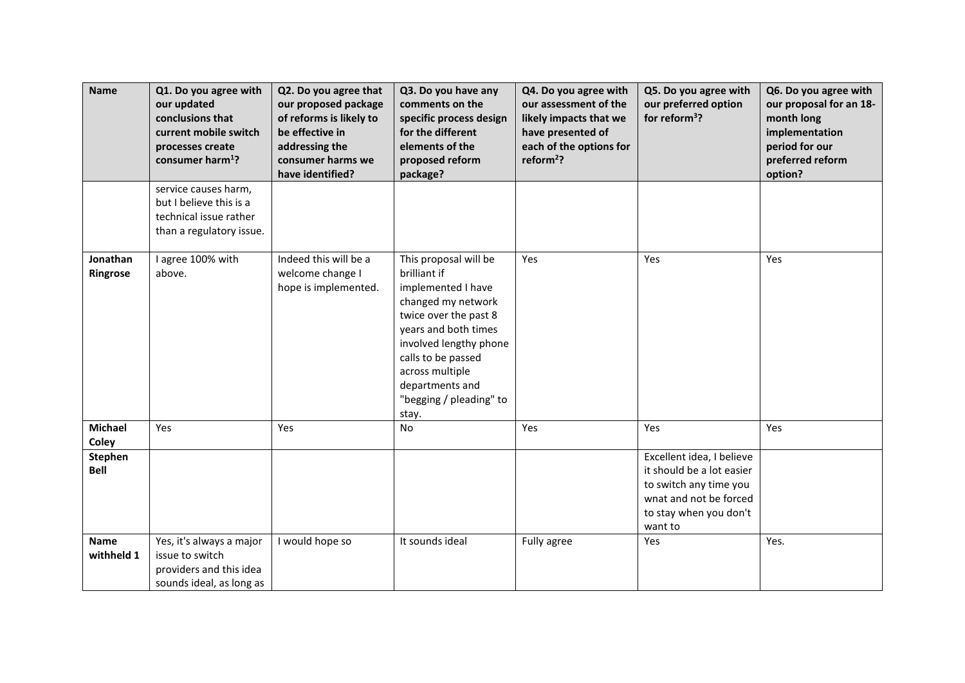| <b>Name</b>                   | Q1. Do you agree with<br>our updated<br>conclusions that<br>current mobile switch<br>processes create<br>consumer harm <sup>1</sup> ? | Q2. Do you agree that<br>our proposed package<br>of reforms is likely to<br>be effective in<br>addressing the<br>consumer harms we<br>have identified? | Q3. Do you have any<br>comments on the<br>specific process design<br>for the different<br>elements of the<br>proposed reform<br>package?                                                                                                                     | Q4. Do you agree with<br>our assessment of the<br>likely impacts that we<br>have presented of<br>each of the options for<br>reform <sup>2</sup> ? | Q5. Do you agree with<br>our preferred option<br>for reform $3$ ?                                                                               | Q6. Do you agree with<br>our proposal for an 18-<br>month long<br>implementation<br>period for our<br>preferred reform<br>option? |
|-------------------------------|---------------------------------------------------------------------------------------------------------------------------------------|--------------------------------------------------------------------------------------------------------------------------------------------------------|--------------------------------------------------------------------------------------------------------------------------------------------------------------------------------------------------------------------------------------------------------------|---------------------------------------------------------------------------------------------------------------------------------------------------|-------------------------------------------------------------------------------------------------------------------------------------------------|-----------------------------------------------------------------------------------------------------------------------------------|
|                               | service causes harm,<br>but I believe this is a<br>technical issue rather<br>than a regulatory issue.                                 |                                                                                                                                                        |                                                                                                                                                                                                                                                              |                                                                                                                                                   |                                                                                                                                                 |                                                                                                                                   |
| Jonathan<br>Ringrose          | l agree 100% with<br>above.                                                                                                           | Indeed this will be a<br>welcome change I<br>hope is implemented.                                                                                      | This proposal will be<br>brilliant if<br>implemented I have<br>changed my network<br>twice over the past 8<br>years and both times<br>involved lengthy phone<br>calls to be passed<br>across multiple<br>departments and<br>"begging / pleading" to<br>stay. | Yes                                                                                                                                               | Yes                                                                                                                                             | Yes                                                                                                                               |
| <b>Michael</b><br>Coley       | Yes                                                                                                                                   | Yes                                                                                                                                                    | No                                                                                                                                                                                                                                                           | Yes                                                                                                                                               | Yes                                                                                                                                             | Yes                                                                                                                               |
| <b>Stephen</b><br><b>Bell</b> |                                                                                                                                       |                                                                                                                                                        |                                                                                                                                                                                                                                                              |                                                                                                                                                   | Excellent idea, I believe<br>it should be a lot easier<br>to switch any time you<br>wnat and not be forced<br>to stay when you don't<br>want to |                                                                                                                                   |
| <b>Name</b><br>withheld 1     | Yes, it's always a major<br>issue to switch<br>providers and this idea<br>sounds ideal, as long as                                    | I would hope so                                                                                                                                        | It sounds ideal                                                                                                                                                                                                                                              | Fully agree                                                                                                                                       | Yes                                                                                                                                             | Yes.                                                                                                                              |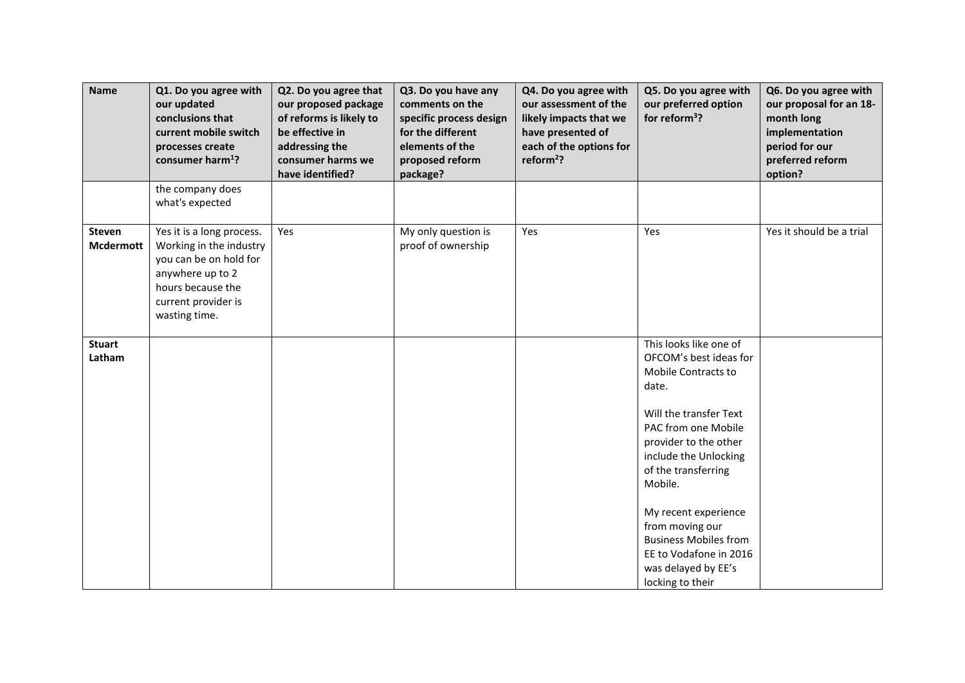| <b>Name</b>                       | Q1. Do you agree with<br>our updated<br>conclusions that<br>current mobile switch<br>processes create<br>consumer harm <sup>1</sup> ?                           | Q2. Do you agree that<br>our proposed package<br>of reforms is likely to<br>be effective in<br>addressing the<br>consumer harms we<br>have identified? | Q3. Do you have any<br>comments on the<br>specific process design<br>for the different<br>elements of the<br>proposed reform<br>package? | Q4. Do you agree with<br>our assessment of the<br>likely impacts that we<br>have presented of<br>each of the options for<br>reform <sup>2</sup> ? | Q5. Do you agree with<br>our preferred option<br>for reform <sup>3</sup> ?                                                                                                                                                                                                                                                                                            | Q6. Do you agree with<br>our proposal for an 18-<br>month long<br>implementation<br>period for our<br>preferred reform<br>option? |
|-----------------------------------|-----------------------------------------------------------------------------------------------------------------------------------------------------------------|--------------------------------------------------------------------------------------------------------------------------------------------------------|------------------------------------------------------------------------------------------------------------------------------------------|---------------------------------------------------------------------------------------------------------------------------------------------------|-----------------------------------------------------------------------------------------------------------------------------------------------------------------------------------------------------------------------------------------------------------------------------------------------------------------------------------------------------------------------|-----------------------------------------------------------------------------------------------------------------------------------|
|                                   | the company does<br>what's expected                                                                                                                             |                                                                                                                                                        |                                                                                                                                          |                                                                                                                                                   |                                                                                                                                                                                                                                                                                                                                                                       |                                                                                                                                   |
| <b>Steven</b><br><b>Mcdermott</b> | Yes it is a long process.<br>Working in the industry<br>you can be on hold for<br>anywhere up to 2<br>hours because the<br>current provider is<br>wasting time. | Yes                                                                                                                                                    | My only question is<br>proof of ownership                                                                                                | Yes                                                                                                                                               | Yes                                                                                                                                                                                                                                                                                                                                                                   | Yes it should be a trial                                                                                                          |
| <b>Stuart</b><br>Latham           |                                                                                                                                                                 |                                                                                                                                                        |                                                                                                                                          |                                                                                                                                                   | This looks like one of<br>OFCOM's best ideas for<br>Mobile Contracts to<br>date.<br>Will the transfer Text<br>PAC from one Mobile<br>provider to the other<br>include the Unlocking<br>of the transferring<br>Mobile.<br>My recent experience<br>from moving our<br><b>Business Mobiles from</b><br>EE to Vodafone in 2016<br>was delayed by EE's<br>locking to their |                                                                                                                                   |